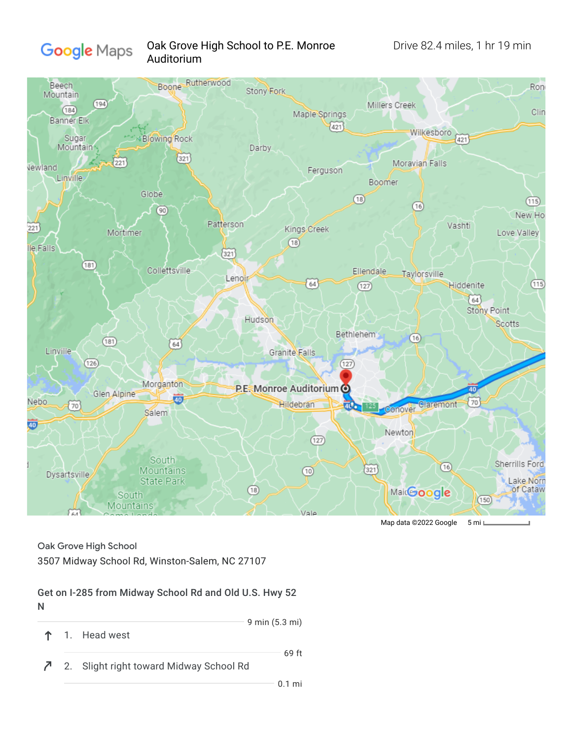

## Oak Grove High School to P.E. Monroe Drive 82.4 miles, 1 hr 19 min Auditorium



Map data ©2022 Google 5 mi

Oak Grove High School

3507 Midway School Rd, Winston-Salem, NC 27107

#### Get on I-285 from Midway School Rd and Old U.S. Hwy 52 N

- 9 min (5.3 mi) ↑
	- 1. Head west
- $\bar{c}$ 2. Slight right toward Midway School Rd

69 ft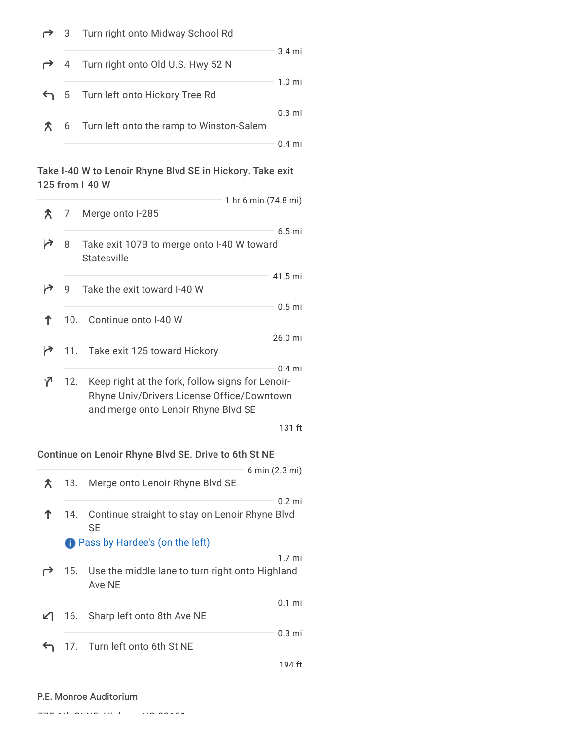# 3. Turn right onto Midway School Rd

|  | 4. Turn right onto Old U.S. Hwy 52 N        | $3.4 \text{ mi}$ |
|--|---------------------------------------------|------------------|
|  | 5. Turn left onto Hickory Tree Rd           | $1.0 \text{ mi}$ |
|  | 6. Turn left onto the ramp to Winston-Salem | $0.3$ mi         |
|  |                                             |                  |

## Take I-40 W to Lenoir Rhyne Blvd SE in Hickory. Take exit 125 from I-40 W

|   |                 | 1 hr 6 min (74.8 mi)                                                                                                                              |
|---|-----------------|---------------------------------------------------------------------------------------------------------------------------------------------------|
|   |                 | $\uparrow$ 7. Merge onto I-285                                                                                                                    |
|   | 8.              | $6.5 \text{ mi}$<br>Take exit 107B to merge onto I-40 W toward<br>Statesville                                                                     |
|   |                 | 41.5 mi<br>9. Take the exit toward I-40 W                                                                                                         |
|   | 10 <sub>1</sub> | 0.5 <sub>mi</sub><br>Continue onto I-40 W                                                                                                         |
| r |                 | $26.0$ mi<br>11. Take exit 125 toward Hickory                                                                                                     |
| Y | 12.             | $0.4$ mi<br>Keep right at the fork, follow signs for Lenoir-<br>Rhyne Univ/Drivers License Office/Downtown<br>and merge onto Lenoir Rhyne Blvd SE |
|   |                 | 131 ft                                                                                                                                            |

## Continue on Lenoir Rhyne Blvd SE. Drive to 6th St NE

|               |     |                                                                                                   | 6 min (2.3 mi)   |  |
|---------------|-----|---------------------------------------------------------------------------------------------------|------------------|--|
| $\mathcal{R}$ | 13. | Merge onto Lenoir Rhyne Blvd SE                                                                   |                  |  |
|               |     | 14. Continue straight to stay on Lenoir Rhyne Blvd<br>SE<br><b>Pass by Hardee's (on the left)</b> | $0.2$ mi         |  |
|               |     | 15. Use the middle lane to turn right onto Highland<br>Ave NE                                     | $1.7 \text{ mi}$ |  |
| ℒ⅂            |     | 16. Sharp left onto 8th Ave NE                                                                    | $0.1$ mi         |  |
|               |     | 17. Turn left onto 6th St NE                                                                      | $0.3 \text{ mi}$ |  |
|               |     |                                                                                                   | 194 ft           |  |

#### P.E. Monroe Auditorium